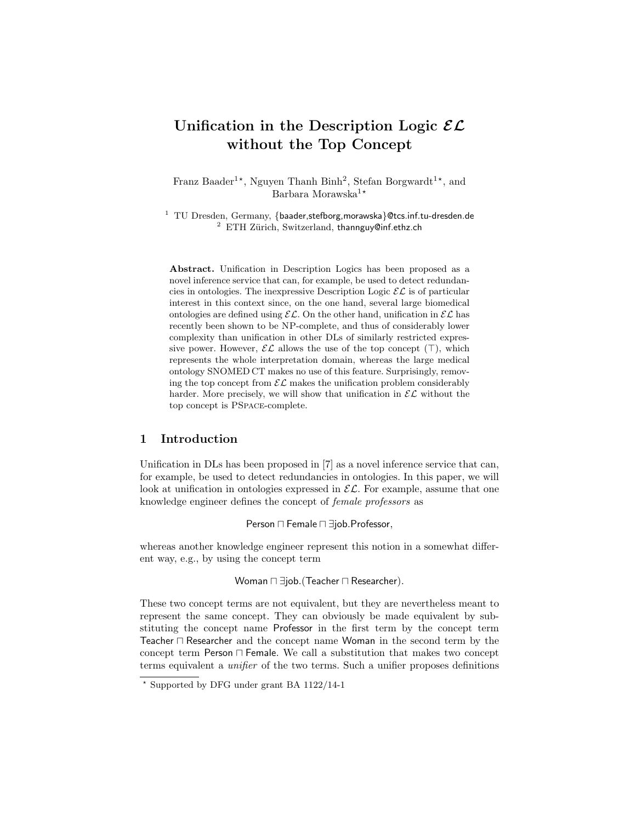# Unification in the Description Logic  $\mathcal{EL}$ without the Top Concept

Franz Baader<sup>1\*</sup>, Nguyen Thanh Binh<sup>2</sup>, Stefan Borgwardt<sup>1\*</sup>, and Barbara Morawska $1*$ 

 $1$  TU Dresden, Germany, {baader, stefborg, morawska}@tcs.inf.tu-dresden.de  $2$  ETH Zürich, Switzerland, thannguy@inf.ethz.ch

Abstract. Unification in Description Logics has been proposed as a novel inference service that can, for example, be used to detect redundancies in ontologies. The inexpressive Description Logic  $\mathcal{EL}$  is of particular interest in this context since, on the one hand, several large biomedical ontologies are defined using  $\mathcal{EL}$ . On the other hand, unification in  $\mathcal{EL}$  has recently been shown to be NP-complete, and thus of considerably lower complexity than unification in other DLs of similarly restricted expressive power. However,  $\mathcal{EL}$  allows the use of the top concept  $(\top)$ , which represents the whole interpretation domain, whereas the large medical ontology SNOMED CT makes no use of this feature. Surprisingly, removing the top concept from  $\mathcal{EL}$  makes the unification problem considerably harder. More precisely, we will show that unification in  $\mathcal{EL}$  without the top concept is PSpace-complete.

## 1 Introduction

Unification in DLs has been proposed in [7] as a novel inference service that can, for example, be used to detect redundancies in ontologies. In this paper, we will look at unification in ontologies expressed in  $\mathcal{EL}$ . For example, assume that one knowledge engineer defines the concept of female professors as

Person  $\sqcap$  Female  $\sqcap \exists$ job.Professor,

whereas another knowledge engineer represent this notion in a somewhat different way, e.g., by using the concept term

Woman  $\sqcap \exists$ job.(Teacher  $\sqcap$  Researcher).

These two concept terms are not equivalent, but they are nevertheless meant to represent the same concept. They can obviously be made equivalent by substituting the concept name Professor in the first term by the concept term Teacher  $\Box$  Researcher and the concept name Woman in the second term by the concept term Person  $\sqcap$  Female. We call a substitution that makes two concept terms equivalent a unifier of the two terms. Such a unifier proposes definitions

 $*$  Supported by DFG under grant BA 1122/14-1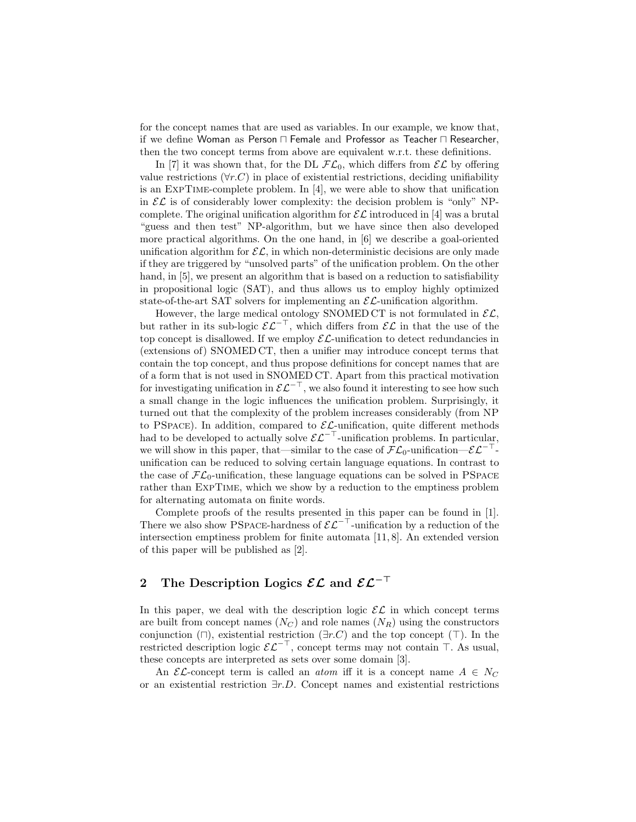for the concept names that are used as variables. In our example, we know that, if we define Woman as Person  $\Box$  Female and Professor as Teacher  $\Box$  Researcher, then the two concept terms from above are equivalent w.r.t. these definitions.

In [7] it was shown that, for the DL  $\mathcal{FL}_0$ , which differs from  $\mathcal{EL}$  by offering value restrictions ( $\forall r.C$ ) in place of existential restrictions, deciding unifiability is an ExpTime-complete problem. In [4], we were able to show that unification in  $\mathcal{EL}$  is of considerably lower complexity: the decision problem is "only" NPcomplete. The original unification algorithm for  $\mathcal{EL}$  introduced in [4] was a brutal "guess and then test" NP-algorithm, but we have since then also developed more practical algorithms. On the one hand, in [6] we describe a goal-oriented unification algorithm for  $\mathcal{EL}$ , in which non-deterministic decisions are only made if they are triggered by "unsolved parts" of the unification problem. On the other hand, in [5], we present an algorithm that is based on a reduction to satisfiability in propositional logic (SAT), and thus allows us to employ highly optimized state-of-the-art SAT solvers for implementing an  $\mathcal{EL}\text{-unification algorithm.}$ 

However, the large medical ontology SNOMED CT is not formulated in  $\mathcal{EL}$ , but rather in its sub-logic  $\mathcal{EL}^{-\top}$ , which differs from  $\mathcal{EL}$  in that the use of the top concept is disallowed. If we employ  $\mathcal{EL}$ -unification to detect redundancies in (extensions of) SNOMED CT, then a unifier may introduce concept terms that contain the top concept, and thus propose definitions for concept names that are of a form that is not used in SNOMED CT. Apart from this practical motivation for investigating unification in  $\mathcal{EL}^{-\top}$ , we also found it interesting to see how such a small change in the logic influences the unification problem. Surprisingly, it turned out that the complexity of the problem increases considerably (from NP to PSPACE). In addition, compared to  $\mathcal{EL}$ -unification, quite different methods had to be developed to actually solve  $\mathcal{EL}^{-\top}$ -unification problems. In particular, we will show in this paper, that—similar to the case of  $\mathcal{FL}_0$ -unification— $\mathcal{EL}^{-\top}$ unification can be reduced to solving certain language equations. In contrast to the case of  $\mathcal{FL}_0$ -unification, these language equations can be solved in PSPACE rather than ExpTime, which we show by a reduction to the emptiness problem for alternating automata on finite words.

Complete proofs of the results presented in this paper can be found in [1]. There we also show PSPACE-hardness of  $\mathcal{EL}^{-\top}$ -unification by a reduction of the intersection emptiness problem for finite automata [11, 8]. An extended version of this paper will be published as [2].

# 2 The Description Logics  $\mathcal{EL}$  and  $\mathcal{EL}^{-\top}$

In this paper, we deal with the description logic  $\mathcal{EL}$  in which concept terms are built from concept names  $(N_C)$  and role names  $(N_R)$  using the constructors conjunction ( $\Box$ ), existential restriction ( $\exists r.C$ ) and the top concept ( $\Box$ ). In the restricted description logic  $\mathcal{EL}^{-\top}$ , concept terms may not contain  $\top$ . As usual, these concepts are interpreted as sets over some domain [3].

An  $\mathcal{EL}$ -concept term is called an *atom* iff it is a concept name  $A \in N_C$ or an existential restriction ∃r.D. Concept names and existential restrictions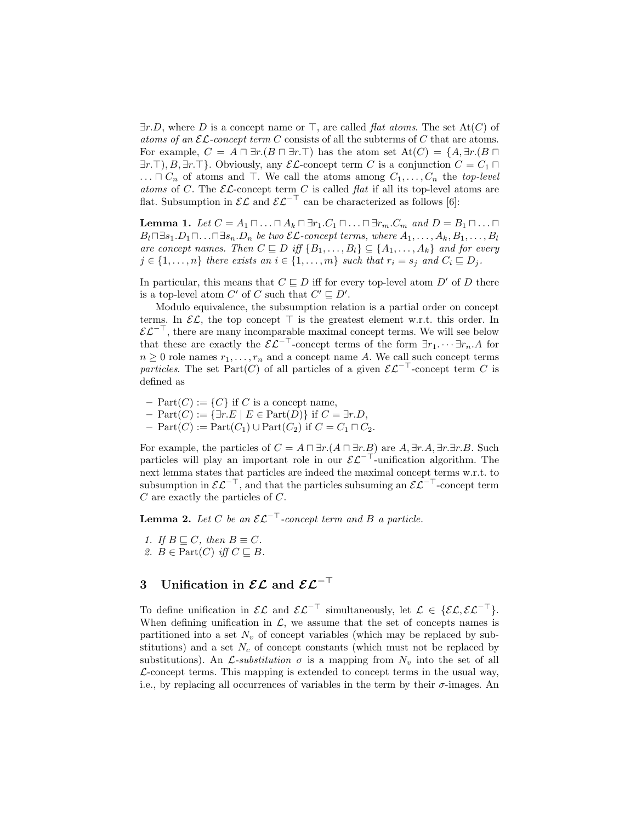$\exists r.D$ , where D is a concept name or  $\top$ , are called *flat atoms*. The set At(C) of atoms of an  $\mathcal{EL}$ -concept term C consists of all the subterms of C that are atoms. For example,  $C = A \sqcap \exists r.(B \sqcap \exists r.\top)$  has the atom set  $At(C) = \{A, \exists r.(B \sqcap \bot)$  $\exists r.\top, B, \exists r.\top$ . Obviously, any  $\mathcal{EL}$ -concept term C is a conjunction  $C = C_1 \sqcap$  $\ldots \sqcap C_n$  of atoms and  $\top$ . We call the atoms among  $C_1, \ldots, C_n$  the top-level atoms of C. The  $\mathcal{EL}$ -concept term C is called flat if all its top-level atoms are flat. Subsumption in  $\mathcal{EL}$  and  $\mathcal{EL}^{-\top}$  can be characterized as follows [6]:

**Lemma 1.** Let  $C = A_1 \sqcap \ldots \sqcap A_k \sqcap \exists r_1.C_1 \sqcap \ldots \sqcap \exists r_m.C_m$  and  $D = B_1 \sqcap \ldots \sqcap$  $B_l \Box s_1 D_1 \Box \ldots \Box s_n D_n$  be two  $\mathcal{EL}\text{-}concept$  terms, where  $A_1, \ldots, A_k, B_1, \ldots, B_l$ are concept names. Then  $C \sqsubseteq D$  iff  $\{B_1, \ldots, B_l\} \subseteq \{A_1, \ldots, A_k\}$  and for every  $j \in \{1, \ldots, n\}$  there exists an  $i \in \{1, \ldots, m\}$  such that  $r_i = s_j$  and  $C_i \sqsubseteq D_j$ .

In particular, this means that  $C \sqsubset D$  iff for every top-level atom D' of D there is a top-level atom C' of C such that  $C' \sqsubseteq D'$ .

Modulo equivalence, the subsumption relation is a partial order on concept terms. In  $\mathcal{EL}$ , the top concept  $\top$  is the greatest element w.r.t. this order. In  $\mathcal{EL}^{-\perp}$ , there are many incomparable maximal concept terms. We will see below that these are exactly the  $\mathcal{EL}^{-\top}$ -concept terms of the form  $\exists r_1. \cdots \exists r_n. A$  for  $n \geq 0$  role names  $r_1, \ldots, r_n$  and a concept name A. We call such concept terms particles. The set Part(C) of all particles of a given  $\mathcal{EL}^{-\top}$ -concept term C is defined as

- $Part(C) := {C}$  if C is a concept name,
- $-$  Part $(C) := \{ \exists r.E \mid E \in Part(D) \}$  if  $C = \exists r.D$ ,
- $-$  Part $(C)$  := Part $(C_1)$   $\cup$  Part $(C_2)$  if  $C = C_1 \sqcap C_2$ .

For example, the particles of  $C = A \sqcap \exists r.(A \sqcap \exists r.B)$  are  $A, \exists r.A, \exists r.\exists r.B.$  Such particles will play an important role in our  $\mathcal{EL}^{-\top}$ -unification algorithm. The next lemma states that particles are indeed the maximal concept terms w.r.t. to subsumption in  $\mathcal{EL}^{-\top}$ , and that the particles subsuming an  $\mathcal{EL}^{-\top}$ -concept term C are exactly the particles of C.

**Lemma 2.** Let C be an  $\mathcal{EL}^{-\top}$ -concept term and B a particle.

1. If  $B \sqsubset C$ , then  $B \equiv C$ . 2.  $B \in Part(C)$  iff  $C \sqsubseteq B$ .

## 3 Unification in  $\mathcal{EL}$  and  $\mathcal{EL}^{-\top}$

To define unification in  $\mathcal{EL}$  and  $\mathcal{EL}^{-\top}$  simultaneously, let  $\mathcal{L} \in \{ \mathcal{EL}, \mathcal{EL}^{-\top} \}.$ When defining unification in  $\mathcal{L}$ , we assume that the set of concepts names is partitioned into a set  $N_v$  of concept variables (which may be replaced by substitutions) and a set  $N_c$  of concept constants (which must not be replaced by substitutions). An  $\mathcal{L}$ -substitution  $\sigma$  is a mapping from  $N_v$  into the set of all  $\mathcal{L}$ -concept terms. This mapping is extended to concept terms in the usual way, i.e., by replacing all occurrences of variables in the term by their  $\sigma$ -images. An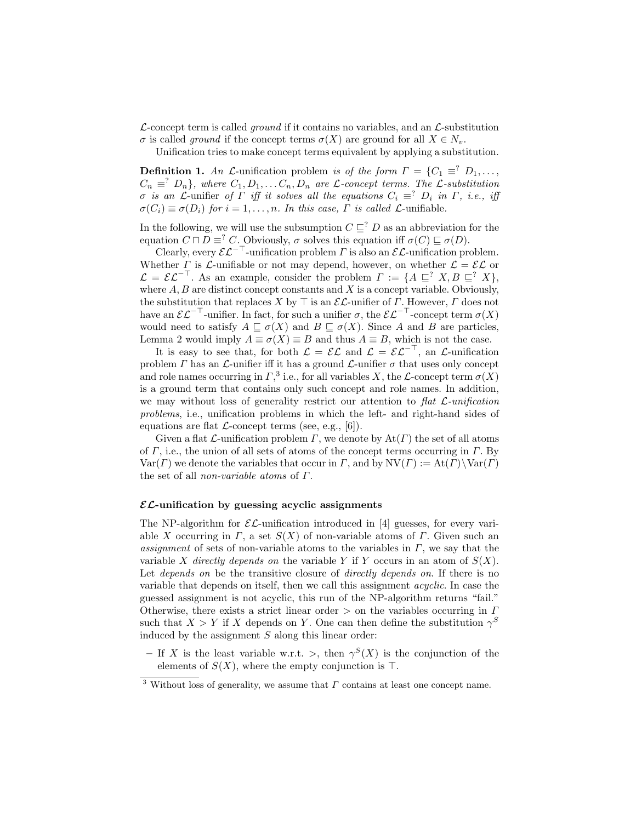$\mathcal{L}\text{-concept term}$  is called *ground* if it contains no variables, and an  $\mathcal{L}\text{-substitution}$  $\sigma$  is called ground if the concept terms  $\sigma(X)$  are ground for all  $X \in N_v$ .

Unification tries to make concept terms equivalent by applying a substitution.

**Definition 1.** An L-unification problem is of the form  $\Gamma = \{C_1 \equiv \{C_1, \ldots, C_n\}$  $C_n \equiv^? D_n$ , where  $C_1, D_1, \ldots C_n, D_n$  are *L*-concept terms. The *L*-substitution σ is an L-unifier of Γ iff it solves all the equations  $C_i \equiv^? D_i$  in Γ, i.e., iff  $\sigma(C_i) \equiv \sigma(D_i)$  for  $i = 1, \ldots, n$ . In this case,  $\Gamma$  is called  $\mathcal{L}$ -unifiable.

In the following, we will use the subsumption  $C \sqsubseteq^? D$  as an abbreviation for the equation  $C \sqcap D \equiv^? C$ . Obviously,  $\sigma$  solves this equation iff  $\sigma(C) \sqsubseteq \sigma(D)$ .

Clearly, every  $\mathcal{EL}^{-\top}$ -unification problem  $\Gamma$  is also an  $\mathcal{EL}$ -unification problem. Whether  $\Gamma$  is  $\mathcal{L}$ -unifiable or not may depend, however, on whether  $\mathcal{L} = \mathcal{EL}$  or  $\mathcal{L} = \mathcal{EL}^{-\perp}$ . As an example, consider the problem  $\Gamma := \{A \sqsubseteq^? X, B \sqsubseteq^? X\},\$ where  $A, B$  are distinct concept constants and  $X$  is a concept variable. Obviously, the substitution that replaces X by  $\top$  is an  $\mathcal{EL}$ -unifier of  $\Gamma$ . However,  $\Gamma$  does not have an  $\mathcal{EL}^{-\top}$ -unifier. In fact, for such a unifier  $\sigma$ , the  $\mathcal{EL}^{-\top}$ -concept term  $\sigma(X)$ would need to satisfy  $A \sqsubseteq \sigma(X)$  and  $B \sqsubseteq \sigma(X)$ . Since A and B are particles, Lemma 2 would imply  $A \equiv \sigma(X) \equiv B$  and thus  $A \equiv B$ , which is not the case.

It is easy to see that, for both  $\mathcal{L} = \mathcal{EL}$  and  $\mathcal{L} = \mathcal{EL}^{-\top}$ , an  $\mathcal{L}$ -unification problem  $\Gamma$  has an  $\mathcal L$ -unifier iff it has a ground  $\mathcal L$ -unifier  $\sigma$  that uses only concept and role names occurring in  $\Gamma$ ,<sup>3</sup> i.e., for all variables X, the L-concept term  $\sigma(X)$ is a ground term that contains only such concept and role names. In addition, we may without loss of generality restrict our attention to flat  $\mathcal{L}\text{-}uniform$ problems, i.e., unification problems in which the left- and right-hand sides of equations are flat  $\mathcal{L}\text{-concept terms}$  (see, e.g., [6]).

Given a flat  $\mathcal L$ -unification problem  $\Gamma$ , we denote by  $\text{At}(\Gamma)$  the set of all atoms of  $\Gamma$ , i.e., the union of all sets of atoms of the concept terms occurring in  $\Gamma$ . By  $Var(\Gamma)$  we denote the variables that occur in  $\Gamma$ , and by  $NV(\Gamma) := At(\Gamma) \setminus Var(\Gamma)$ the set of all non-variable atoms of Γ.

#### $\mathcal{EL}$ -unification by guessing acyclic assignments

The NP-algorithm for  $\mathcal{EL}\text{-unification introduced in [4] guesses, for every vari$ able X occurring in  $\Gamma$ , a set  $S(X)$  of non-variable atoms of  $\Gamma$ . Given such an assignment of sets of non-variable atoms to the variables in  $\Gamma$ , we say that the variable X directly depends on the variable Y if Y occurs in an atom of  $S(X)$ . Let *depends* on be the transitive closure of *directly depends on*. If there is no variable that depends on itself, then we call this assignment acyclic. In case the guessed assignment is not acyclic, this run of the NP-algorithm returns "fail." Otherwise, there exists a strict linear order  $>$  on the variables occurring in  $\Gamma$ such that  $X > Y$  if X depends on Y. One can then define the substitution  $\gamma^S$ induced by the assignment  $S$  along this linear order:

– If X is the least variable w.r.t. >, then  $\gamma^S(X)$  is the conjunction of the elements of  $S(X)$ , where the empty conjunction is  $\top$ .

<sup>&</sup>lt;sup>3</sup> Without loss of generality, we assume that  $\Gamma$  contains at least one concept name.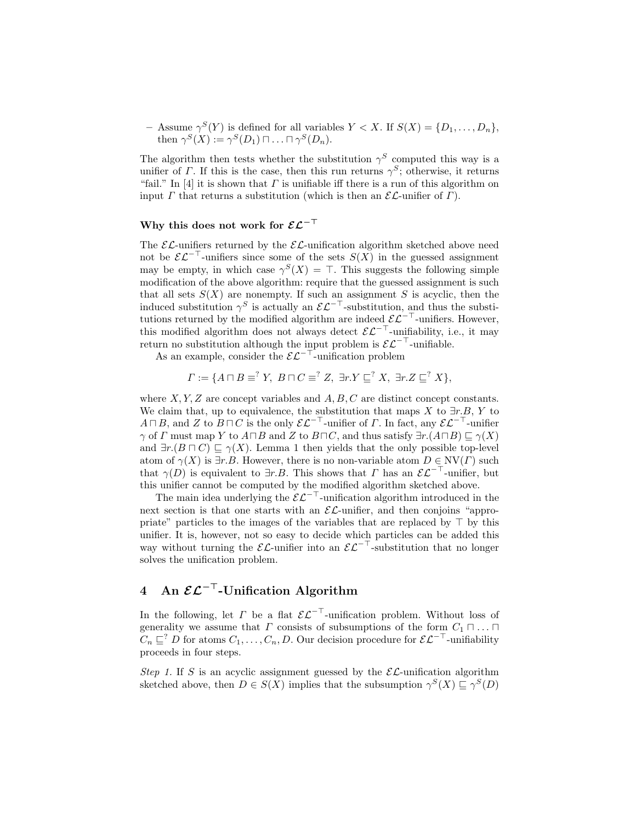- Assume  $\gamma^{S}(Y)$  is defined for all variables  $Y < X$ . If  $S(X) = \{D_1, \ldots, D_n\}$ , then  $\gamma^S(X) := \gamma^S(D_1) \sqcap \ldots \sqcap \gamma^S(D_n)$ .

The algorithm then tests whether the substitution  $\gamma^S$  computed this way is a unifier of  $\Gamma$ . If this is the case, then this run returns  $\gamma^S$ ; otherwise, it returns "fail." In [4] it is shown that  $\Gamma$  is unifiable iff there is a run of this algorithm on input  $\Gamma$  that returns a substitution (which is then an  $\mathcal{EL}$ -unifier of  $\Gamma$ ).

## Why this does not work for  $\mathcal{EL}^{-\top}$

The  $\mathcal{EL}$ -unifiers returned by the  $\mathcal{EL}$ -unification algorithm sketched above need not be  $\mathcal{EL}^{-\top}$ -unifiers since some of the sets  $S(X)$  in the guessed assignment may be empty, in which case  $\gamma^{S}(X) = \top$ . This suggests the following simple modification of the above algorithm: require that the guessed assignment is such that all sets  $S(X)$  are nonempty. If such an assignment S is acyclic, then the induced substitution  $\gamma^S$  is actually an  $\mathcal{EL}^{-\top}$ -substitution, and thus the substitutions returned by the modified algorithm are indeed  $\mathcal{EL}^{-\top}$ -unifiers. However, this modified algorithm does not always detect  $\mathcal{EL}^{-\top}$ -unifiability, i.e., it may return no substitution although the input problem is  $\mathcal{EL}^{-\top}$ -unifiable.

As an example, consider the  $\mathcal{EL}^{-\top}$ -unification problem

$$
\Gamma := \{ A \sqcap B \equiv^? Y, \ B \sqcap C \equiv^? Z, \ \exists r.Y \sqsubseteq^? X, \ \exists r.Z \sqsubseteq^? X \},
$$

where  $X, Y, Z$  are concept variables and  $A, B, C$  are distinct concept constants. We claim that, up to equivalence, the substitution that maps X to  $\exists r.B, Y$  to  $A \sqcap B$ , and Z to  $B \sqcap C$  is the only  $\mathcal{EL}^{-\top}$ -unifier of  $\Gamma$ . In fact, any  $\mathcal{EL}^{-\top}$ -unifier  $\gamma$  of  $\Gamma$  must map Y to  $A \sqcap B$  and Z to  $B \sqcap C$ , and thus satisfy  $\exists r.(A \sqcap B) \sqsubset \gamma(X)$ and  $\exists r.(B \sqcap C) \sqsubseteq \gamma(X)$ . Lemma 1 then yields that the only possible top-level atom of  $\gamma(X)$  is  $\exists r.B.$  However, there is no non-variable atom  $D \in \text{NV}(\Gamma)$  such that  $\gamma(D)$  is equivalent to  $\exists r.B.$  This shows that  $\Gamma$  has an  $\mathcal{EL}^{-\top}$ -unifier, but this unifier cannot be computed by the modified algorithm sketched above.

The main idea underlying the  $\mathcal{EL}^{-\top}$ -unification algorithm introduced in the next section is that one starts with an  $\mathcal{EL}\text{-unifier}$ , and then conjoins "appropriate" particles to the images of the variables that are replaced by  $\top$  by this unifier. It is, however, not so easy to decide which particles can be added this way without turning the  $\mathcal{EL}$ -unifier into an  $\mathcal{EL}^{-\top}$ -substitution that no longer solves the unification problem.

# 4 An  $\mathcal{EL}^{-\top}$ -Unification Algorithm

In the following, let  $\Gamma$  be a flat  $\mathcal{EL}^{-\top}$ -unification problem. Without loss of generality we assume that  $\Gamma$  consists of subsumptions of the form  $C_1 \sqcap \ldots \sqcap$  $C_n \sqsubseteq^? D$  for atoms  $C_1, \ldots, C_n, D$ . Our decision procedure for  $\mathcal{EL}^{-\top}$ -unifiability proceeds in four steps.

Step 1. If S is an acyclic assignment guessed by the  $\mathcal{EL}$ -unification algorithm sketched above, then  $D \in S(X)$  implies that the subsumption  $\gamma^S(X) \sqsubseteq \gamma^S(D)$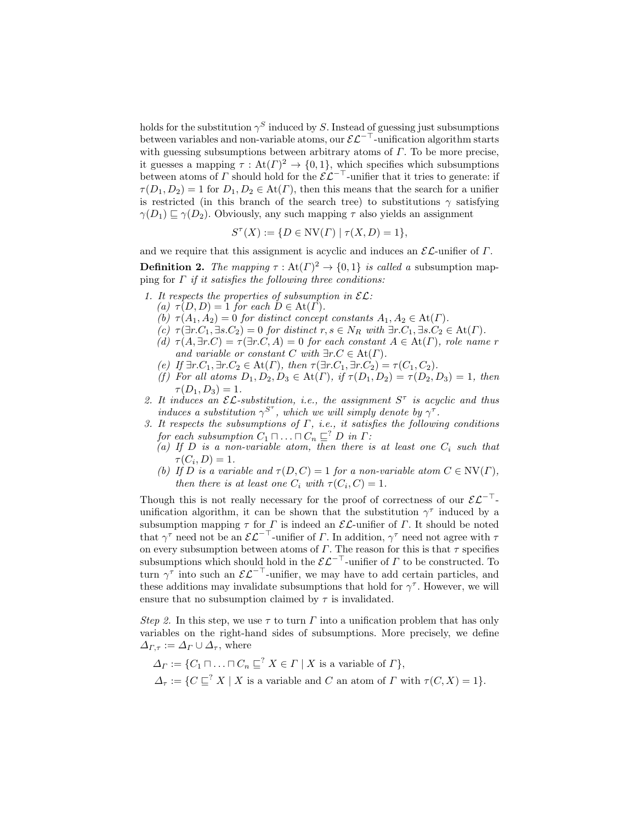holds for the substitution  $\gamma^S$  induced by S. Instead of guessing just subsumptions between variables and non-variable atoms, our  $\mathcal{EL}^{-\top}$ -unification algorithm starts with guessing subsumptions between arbitrary atoms of  $\Gamma$ . To be more precise, it guesses a mapping  $\tau : \text{At}(\Gamma)^2 \to \{0,1\}$ , which specifies which subsumptions between atoms of  $\Gamma$  should hold for the  $\mathcal{EL}^{-\top}$ -unifier that it tries to generate: if  $\tau(D_1, D_2) = 1$  for  $D_1, D_2 \in \text{At}(\Gamma)$ , then this means that the search for a unifier is restricted (in this branch of the search tree) to substitutions  $\gamma$  satisfying  $\gamma(D_1) \sqsubset \gamma(D_2)$ . Obviously, any such mapping  $\tau$  also yields an assignment

$$
S^{\tau}(X) := \{ D \in \text{NV}(\Gamma) \mid \tau(X, D) = 1 \},
$$

and we require that this assignment is acyclic and induces an  $\mathcal{EL}\text{-uniform}$  of  $\Gamma$ .

**Definition 2.** The mapping  $\tau : \text{At}(\Gamma)^2 \to \{0,1\}$  is called a subsumption mapping for  $\Gamma$  if it satisfies the following three conditions:

- 1. It respects the properties of subsumption in  $\mathcal{EL}$ :
	- (a)  $\tau(D, D) = 1$  for each  $D \in \text{At}(\Gamma)$ .
	- (b)  $\tau(A_1, A_2) = 0$  for distinct concept constants  $A_1, A_2 \in \text{At}(\Gamma)$ .
	- (c)  $\tau(\exists r.C_1, \exists s.C_2) = 0$  for distinct  $r, s \in N_R$  with  $\exists r.C_1, \exists s.C_2 \in At(\Gamma)$ .
	- (d)  $\tau(A, \exists r.C) = \tau(\exists r.C, A) = 0$  for each constant  $A \in At(\Gamma)$ , role name r and variable or constant C with  $\exists r.C \in \text{At}(\Gamma)$ .
	- (e) If  $\exists r.C_1, \exists r.C_2 \in At(\Gamma)$ , then  $\tau(\exists r.C_1, \exists r.C_2) = \tau(C_1, C_2)$ .
	- (f) For all atoms  $D_1, D_2, D_3 \in \text{At}(\Gamma)$ , if  $\tau(D_1, D_2) = \tau(D_2, D_3) = 1$ , then  $\tau(D_1, D_3) = 1.$
- 2. It induces an  $\mathcal{EL}\text{-substitution}$ , i.e., the assignment  $S^{\tau}$  is acyclic and thus induces a substitution  $\gamma^{S^{\tau}}$ , which we will simply denote by  $\gamma^{\tau}$ .
- 3. It respects the subsumptions of  $\Gamma$ , i.e., it satisfies the following conditions for each subsumption  $C_1 \sqcap \ldots \sqcap C_n \sqsubseteq^? D$  in  $\Gamma$ :
	- (a) If D is a non-variable atom, then there is at least one  $C_i$  such that  $\tau(C_i,D)=1.$
	- (b) If D is a variable and  $\tau(D, C) = 1$  for a non-variable atom  $C \in \text{NV}(\Gamma)$ , then there is at least one  $C_i$  with  $\tau(C_i, C) = 1$ .

Though this is not really necessary for the proof of correctness of our  $\mathcal{EL}^{-\top}$ unification algorithm, it can be shown that the substitution  $\gamma^{\tau}$  induced by a subsumption mapping  $\tau$  for  $\Gamma$  is indeed an  $\mathcal{EL}$ -unifier of  $\Gamma$ . It should be noted that  $\gamma^{\tau}$  need not be an  $\mathcal{EL}^{-\top}$ -unifier of  $\Gamma$ . In addition,  $\gamma^{\tau}$  need not agree with  $\tau$ on every subsumption between atoms of  $\Gamma$ . The reason for this is that  $\tau$  specifies subsumptions which should hold in the  $\mathcal{EL}^{-\top}$ -unifier of  $\Gamma$  to be constructed. To turn  $\gamma^{\tau}$  into such an  $\mathcal{EL}^{-\top}$ -unifier, we may have to add certain particles, and these additions may invalidate subsumptions that hold for  $\gamma^{\tau}$ . However, we will ensure that no subsumption claimed by  $\tau$  is invalidated.

Step 2. In this step, we use  $\tau$  to turn  $\Gamma$  into a unification problem that has only variables on the right-hand sides of subsumptions. More precisely, we define  $\Delta_{\Gamma,\tau} := \Delta_{\Gamma} \cup \Delta_{\tau}$ , where

$$
\Delta_{\Gamma} := \{ C_1 \sqcap \ldots \sqcap C_n \sqsubseteq^? X \in \Gamma \mid X \text{ is a variable of } \Gamma \},
$$
  

$$
\Delta_{\tau} := \{ C \sqsubseteq^? X \mid X \text{ is a variable and } C \text{ an atom of } \Gamma \text{ with } \tau(C, X) = 1 \}.
$$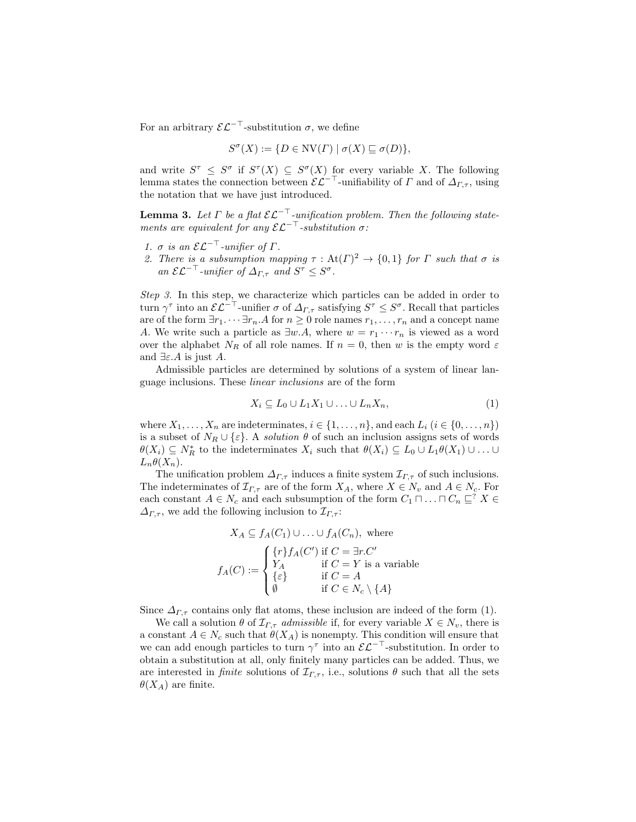For an arbitrary  $\mathcal{EL}^{-\top}$ -substitution  $\sigma$ , we define

$$
S^{\sigma}(X) := \{ D \in \text{NV}(\Gamma) \mid \sigma(X) \sqsubseteq \sigma(D) \},
$$

and write  $S^{\tau} \leq S^{\sigma}$  if  $S^{\tau}(X) \subseteq S^{\sigma}(X)$  for every variable X. The following lemma states the connection between  $\mathcal{EL}^{-\top}$ -unifiability of  $\Gamma$  and of  $\Delta_{\Gamma,\tau}$ , using the notation that we have just introduced.

**Lemma 3.** Let  $\Gamma$  be a flat  $\mathcal{EL}^{-\top}$ -unification problem. Then the following statements are equivalent for any  $\mathcal{EL}^{-\top}$ -substitution  $\sigma$ :

- 1.  $\sigma$  is an  $\mathcal{EL}^{-\top}$ -unifier of  $\Gamma$ .
- 2. There is a subsumption mapping  $\tau : \text{At}(\Gamma)^2 \to \{0,1\}$  for  $\Gamma$  such that  $\sigma$  is an  $\mathcal{EL}^{-\top}$ -unifier of  $\Delta_{\Gamma,\tau}$  and  $S^{\tau} \leq S^{\sigma}$ .

Step 3. In this step, we characterize which particles can be added in order to turn  $\gamma^{\tau}$  into an  $\mathcal{EL}^{-\top}$ -unifier  $\sigma$  of  $\Delta_{\Gamma,\tau}$  satisfying  $S^{\tau} \leq S^{\sigma}$ . Recall that particles are of the form  $\exists r_1 \cdots \exists r_n.A$  for  $n \geq 0$  role names  $r_1, \ldots, r_n$  and a concept name A. We write such a particle as  $\exists w.A$ , where  $w = r_1 \cdots r_n$  is viewed as a word over the alphabet  $N_R$  of all role names. If  $n = 0$ , then w is the empty word  $\varepsilon$ and  $\exists \varepsilon.A$  is just A.

Admissible particles are determined by solutions of a system of linear language inclusions. These linear inclusions are of the form

$$
X_i \subseteq L_0 \cup L_1 X_1 \cup \ldots \cup L_n X_n,\tag{1}
$$

where  $X_1, \ldots, X_n$  are indeterminates,  $i \in \{1, \ldots, n\}$ , and each  $L_i$   $(i \in \{0, \ldots, n\})$ is a subset of  $N_R \cup \{\varepsilon\}$ . A *solution*  $\theta$  of such an inclusion assigns sets of words  $\theta(X_i) \subseteq N_R^*$  to the indeterminates  $X_i$  such that  $\theta(X_i) \subseteq L_0 \cup L_1 \theta(X_1) \cup \ldots \cup$  $L_n \theta(X_n)$ .

The unification problem  $\Delta_{\Gamma,\tau}$  induces a finite system  $\mathcal{I}_{\Gamma,\tau}$  of such inclusions. The indeterminates of  $\mathcal{I}_{\Gamma,\tau}$  are of the form  $X_A$ , where  $X \in N_v$  and  $A \in N_c$ . For each constant  $A \in N_c$  and each subsumption of the form  $C_1 \sqcap \ldots \sqcap C_n \sqsubseteq^? X \in$  $\Delta_{\Gamma,\tau}$ , we add the following inclusion to  $\mathcal{I}_{\Gamma,\tau}$ :

$$
X_A \subseteq f_A(C_1) \cup \ldots \cup f_A(C_n), \text{ where}
$$

$$
f_A(C) := \begin{cases} \{r\} f_A(C') \text{ if } C = \exists r.C' \\ Y_A & \text{ if } C = Y \text{ is a variable} \\ \{\varepsilon\} & \text{ if } C = A \\ \emptyset & \text{ if } C \in N_c \setminus \{A\} \end{cases}
$$

Since  $\Delta_{\Gamma,\tau}$  contains only flat atoms, these inclusion are indeed of the form (1).

We call a solution  $\theta$  of  $\mathcal{I}_{\Gamma,\tau}$  admissible if, for every variable  $X \in N_v$ , there is a constant  $A \in N_c$  such that  $\theta(X_A)$  is nonempty. This condition will ensure that we can add enough particles to turn  $\gamma^{\tau}$  into an  $\mathcal{EL}^{-\top}$ -substitution. In order to obtain a substitution at all, only finitely many particles can be added. Thus, we are interested in *finite* solutions of  $\mathcal{I}_{\Gamma,\tau}$ , i.e., solutions  $\theta$  such that all the sets  $\theta(X_A)$  are finite.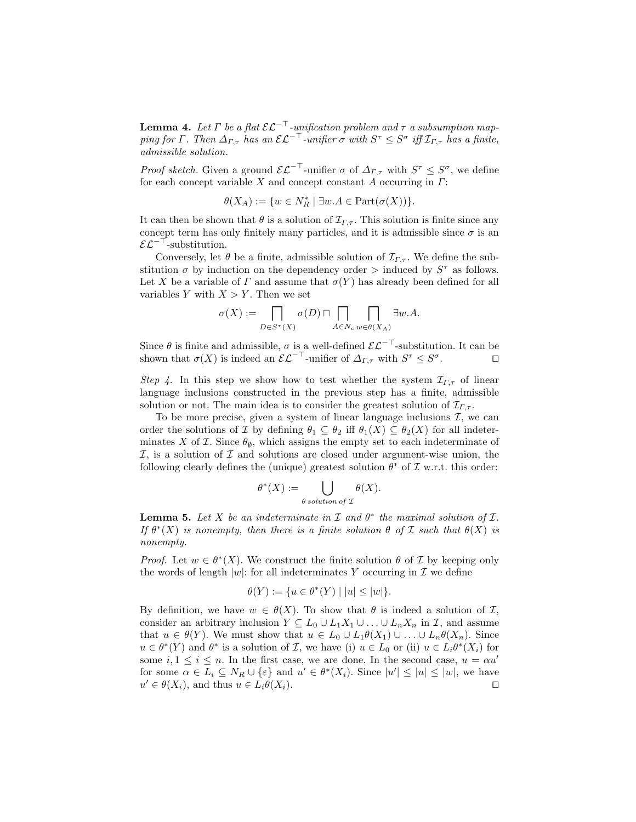**Lemma 4.** Let  $\Gamma$  be a flat  $\mathcal{EL}^{-\top}$ -unification problem and  $\tau$  a subsumption mapping for Γ. Then  $\Delta_{\Gamma,\tau}$  has an  $\mathcal{EL}^{-\top}$ -unifier  $\sigma$  with  $S^{\tau} \leq S^{\sigma}$  iff  $\mathcal{I}_{\Gamma,\tau}$  has a finite, admissible solution.

*Proof sketch.* Given a ground  $\mathcal{EL}^{-\top}$ -unifier  $\sigma$  of  $\Delta_{\Gamma,\tau}$  with  $S^{\tau} \leq S^{\sigma}$ , we define for each concept variable X and concept constant A occurring in  $\Gamma$ :

$$
\theta(X_A) := \{ w \in N_R^* \mid \exists w.A \in \text{Part}(\sigma(X)) \}.
$$

It can then be shown that  $\theta$  is a solution of  $\mathcal{I}_{\Gamma,\tau}$ . This solution is finite since any concept term has only finitely many particles, and it is admissible since  $\sigma$  is an  $\mathcal{EL}^{-\top}$ -substitution.

Conversely, let  $\theta$  be a finite, admissible solution of  $\mathcal{I}_{\Gamma,\tau}$ . We define the substitution  $\sigma$  by induction on the dependency order  $>$  induced by  $S^{\tau}$  as follows. Let X be a variable of  $\Gamma$  and assume that  $\sigma(Y)$  has already been defined for all variables Y with  $X > Y$ . Then we set

$$
\sigma(X) := \prod_{D \in S^{\tau}(X)} \sigma(D) \sqcap \prod_{A \in N_c} \prod_{w \in \theta(X_A)} \exists w.A.
$$

Since  $\theta$  is finite and admissible,  $\sigma$  is a well-defined  $\mathcal{EL}^{-\top}$ -substitution. It can be shown that  $\sigma(X)$  is indeed an  $\mathcal{EL}^{-\top}$ -unifier of  $\Delta_{\Gamma,\tau}$  with  $S^{\tau} \leq S^{\sigma}$  $\Box$ 

Step 4. In this step we show how to test whether the system  $\mathcal{I}_{\Gamma,\tau}$  of linear language inclusions constructed in the previous step has a finite, admissible solution or not. The main idea is to consider the greatest solution of  $\mathcal{I}_{\Gamma,\tau}$ .

To be more precise, given a system of linear language inclusions  $\mathcal{I}$ , we can order the solutions of I by defining  $\theta_1 \subseteq \theta_2$  iff  $\theta_1(X) \subseteq \theta_2(X)$  for all indeterminates X of  $\mathcal I$ . Since  $\theta_{\emptyset}$ , which assigns the empty set to each indeterminate of  $I$ , is a solution of  $I$  and solutions are closed under argument-wise union, the following clearly defines the (unique) greatest solution  $\theta^*$  of  $\mathcal I$  w.r.t. this order:

$$
\theta^*(X) := \bigcup_{\theta \text{ solution of } \mathcal{I}} \theta(X).
$$

**Lemma 5.** Let X be an indeterminate in  $\mathcal I$  and  $\theta^*$  the maximal solution of  $\mathcal I$ . If  $\theta^*(X)$  is nonempty, then there is a finite solution  $\theta$  of  $\mathcal I$  such that  $\theta(X)$  is nonempty.

*Proof.* Let  $w \in \theta^*(X)$ . We construct the finite solution  $\theta$  of  $\mathcal I$  by keeping only the words of length  $|w|$ : for all indeterminates Y occurring in  $\mathcal I$  we define

$$
\theta(Y) := \{ u \in \theta^*(Y) \mid |u| \le |w| \}.
$$

By definition, we have  $w \in \theta(X)$ . To show that  $\theta$  is indeed a solution of  $\mathcal{I}$ , consider an arbitrary inclusion  $Y \subseteq L_0 \cup L_1X_1 \cup \ldots \cup L_nX_n$  in  $\mathcal{I}$ , and assume that  $u \in \theta(Y)$ . We must show that  $u \in L_0 \cup L_1\theta(X_1) \cup \ldots \cup L_n\theta(X_n)$ . Since  $u \in \theta^*(Y)$  and  $\theta^*$  is a solution of  $\mathcal{I}$ , we have (i)  $u \in L_0$  or (ii)  $u \in L_i \theta^*(X_i)$  for some  $i, 1 \leq i \leq n$ . In the first case, we are done. In the second case,  $u = \alpha u'$ for some  $\alpha \in L_i \subseteq N_R \cup {\varepsilon}$  and  $u' \in \theta^*(X_i)$ . Since  $|u'| \le |u| \le |w|$ , we have  $u' \in \theta(X_i)$ , and thus  $u \in L_i \theta(X_i)$ .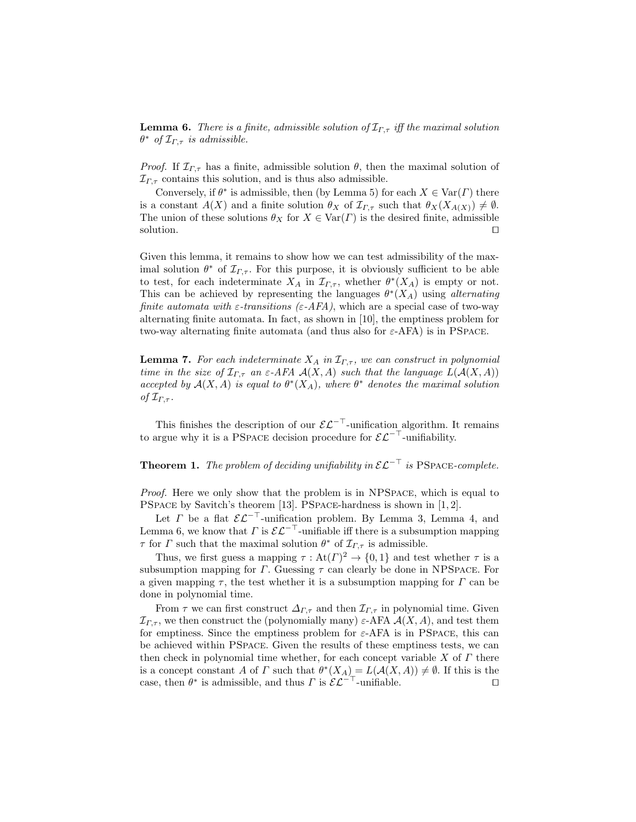**Lemma 6.** There is a finite, admissible solution of  $\mathcal{I}_{\Gamma,\tau}$  iff the maximal solution  $\theta^*$  of  $\mathcal{I}_{\Gamma,\tau}$  is admissible.

*Proof.* If  $\mathcal{I}_{\Gamma,\tau}$  has a finite, admissible solution  $\theta$ , then the maximal solution of  $\mathcal{I}_{\Gamma\tau}$  contains this solution, and is thus also admissible.

Conversely, if  $\theta^*$  is admissible, then (by Lemma 5) for each  $X \in \text{Var}(\Gamma)$  there is a constant  $A(X)$  and a finite solution  $\theta_X$  of  $\mathcal{I}_{\Gamma,\tau}$  such that  $\theta_X(X_{A(X)}) \neq \emptyset$ . The union of these solutions  $\theta_X$  for  $X \in \text{Var}(\Gamma)$  is the desired finite, admissible solution.  $\Box$ 

Given this lemma, it remains to show how we can test admissibility of the maximal solution  $\theta^*$  of  $\mathcal{I}_{\Gamma,\tau}$ . For this purpose, it is obviously sufficient to be able to test, for each indeterminate  $X_A$  in  $\mathcal{I}_{\Gamma,\tau}$ , whether  $\theta^*(X_A)$  is empty or not. This can be achieved by representing the languages  $\theta^*(X_A)$  using alternating finite automata with  $\varepsilon$ -transitions ( $\varepsilon$ -AFA), which are a special case of two-way alternating finite automata. In fact, as shown in [10], the emptiness problem for two-way alternating finite automata (and thus also for  $\varepsilon$ -AFA) is in PSPACE.

**Lemma 7.** For each indeterminate  $X_A$  in  $\mathcal{I}_{\Gamma,\tau}$ , we can construct in polynomial time in the size of  $\mathcal{I}_{\Gamma,\tau}$  an  $\varepsilon$ -AFA  $\mathcal{A}(X,A)$  such that the language  $L(\mathcal{A}(X,A))$ accepted by  $A(X, A)$  is equal to  $\theta^*(X_A)$ , where  $\theta^*$  denotes the maximal solution of  $\mathcal{I}_{\Gamma,\tau}$ .

This finishes the description of our  $\mathcal{EL}^{-\top}$ -unification algorithm. It remains to argue why it is a PSPACE decision procedure for  $\mathcal{EL}^{-\top}$ -unifiability.

**Theorem 1.** The problem of deciding unifiability in  $\mathcal{EL}^{-\top}$  is PSPACE-complete.

Proof. Here we only show that the problem is in NPSpace, which is equal to PSPACE by Savitch's theorem [13]. PSPACE-hardness is shown in [1, 2].

Let  $\Gamma$  be a flat  $\mathcal{EL}^{-\top}$ -unification problem. By Lemma 3, Lemma 4, and Lemma 6, we know that  $\Gamma$  is  $\mathcal{EL}^{-\top}$ -unifiable iff there is a subsumption mapping  $\tau$  for  $\Gamma$  such that the maximal solution  $\theta^*$  of  $\mathcal{I}_{\Gamma,\tau}$  is admissible.

Thus, we first guess a mapping  $\tau : \text{At}(\Gamma)^2 \to \{0,1\}$  and test whether  $\tau$  is a subsumption mapping for  $\Gamma$ . Guessing  $\tau$  can clearly be done in NPSPACE. For a given mapping  $\tau$ , the test whether it is a subsumption mapping for  $\Gamma$  can be done in polynomial time.

From  $\tau$  we can first construct  $\Delta_{\Gamma,\tau}$  and then  $\mathcal{I}_{\Gamma,\tau}$  in polynomial time. Given  $\mathcal{I}_{\Gamma,\tau}$ , we then construct the (polynomially many)  $\varepsilon$ -AFA  $\mathcal{A}(X,A)$ , and test them for emptiness. Since the emptiness problem for  $\varepsilon$ -AFA is in PSPACE, this can be achieved within PSpace. Given the results of these emptiness tests, we can then check in polynomial time whether, for each concept variable  $X$  of  $\Gamma$  there is a concept constant A of  $\Gamma$  such that  $\theta^*(X_A) = L(\mathcal{A}(X,A)) \neq \emptyset$ . If this is the case, then  $\theta^*$  is admissible, and thus  $\Gamma$  is  $\mathcal{EL}^{-\top}$ -unifiable.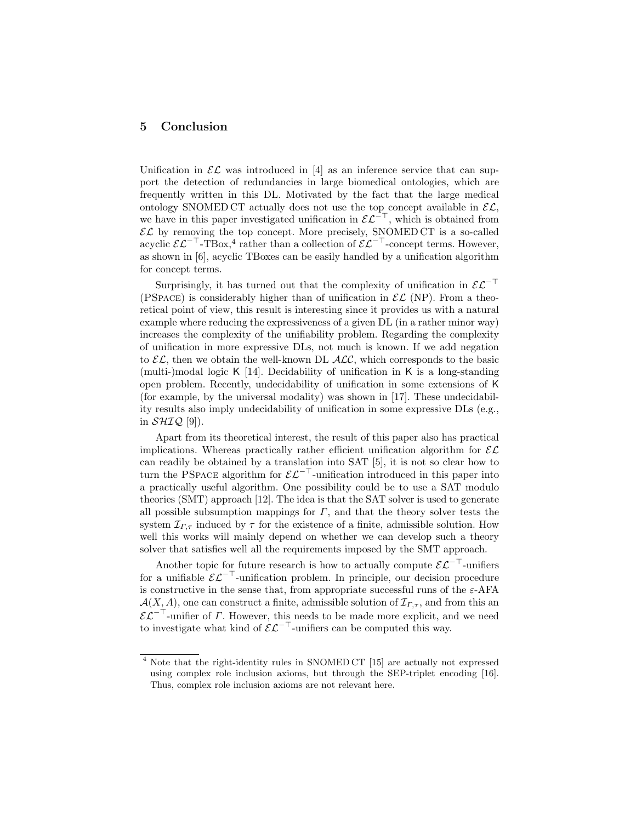### 5 Conclusion

Unification in  $\mathcal{EL}$  was introduced in [4] as an inference service that can support the detection of redundancies in large biomedical ontologies, which are frequently written in this DL. Motivated by the fact that the large medical ontology SNOMED CT actually does not use the top concept available in  $\mathcal{EL}$ . we have in this paper investigated unification in  $\mathcal{EL}^{-\top}$ , which is obtained from  $\mathcal{EL}$  by removing the top concept. More precisely, SNOMED CT is a so-called acyclic  $\mathcal{EL}^{-\top}$ -TBox,<sup>4</sup> rather than a collection of  $\mathcal{EL}^{-\top}$ -concept terms. However, as shown in [6], acyclic TBoxes can be easily handled by a unification algorithm for concept terms.

Surprisingly, it has turned out that the complexity of unification in  $\mathcal{EL}^{-\top}$ (PSPACE) is considerably higher than of unification in  $\mathcal{EL}$  (NP). From a theoretical point of view, this result is interesting since it provides us with a natural example where reducing the expressiveness of a given DL (in a rather minor way) increases the complexity of the unifiability problem. Regarding the complexity of unification in more expressive DLs, not much is known. If we add negation to  $\mathcal{EL}$ , then we obtain the well-known DL  $\mathcal{ALC}$ , which corresponds to the basic (multi-)modal logic K [14]. Decidability of unification in K is a long-standing open problem. Recently, undecidability of unification in some extensions of K (for example, by the universal modality) was shown in [17]. These undecidability results also imply undecidability of unification in some expressive DLs (e.g., in  $\mathcal{SHIQ}$  [9]).

Apart from its theoretical interest, the result of this paper also has practical implications. Whereas practically rather efficient unification algorithm for  $\mathcal{EL}$ can readily be obtained by a translation into SAT [5], it is not so clear how to turn the PSPACE algorithm for  $\mathcal{EL}^{-\top}$ -unification introduced in this paper into a practically useful algorithm. One possibility could be to use a SAT modulo theories (SMT) approach [12]. The idea is that the SAT solver is used to generate all possible subsumption mappings for  $\Gamma$ , and that the theory solver tests the system  $\mathcal{I}_{\Gamma,\tau}$  induced by  $\tau$  for the existence of a finite, admissible solution. How well this works will mainly depend on whether we can develop such a theory solver that satisfies well all the requirements imposed by the SMT approach.

Another topic for future research is how to actually compute  $\mathcal{EL}^{-\top}$ -unifiers for a unifiable  $\mathcal{E}\mathcal{L}^{-\top}$ -unification problem. In principle, our decision procedure is constructive in the sense that, from appropriate successful runs of the  $\varepsilon$ -AFA  $\mathcal{A}(X, A)$ , one can construct a finite, admissible solution of  $\mathcal{I}_{\Gamma,\tau}$ , and from this an  $\mathcal{EL}^{-\top}$ -unifier of  $\Gamma$ . However, this needs to be made more explicit, and we need to investigate what kind of  $\mathcal{EL}^{-\top}$ -unifiers can be computed this way.

<sup>4</sup> Note that the right-identity rules in SNOMED CT [15] are actually not expressed using complex role inclusion axioms, but through the SEP-triplet encoding [16]. Thus, complex role inclusion axioms are not relevant here.